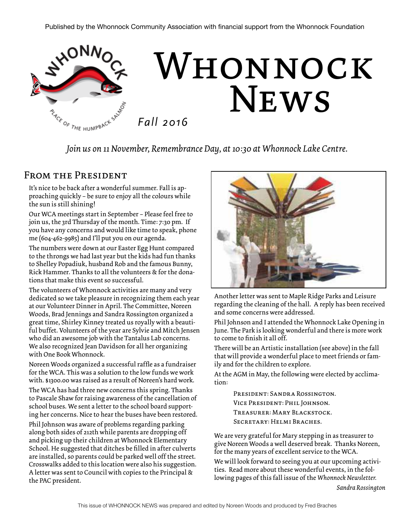

*Join us on 11 November, Remembrance Day, at 10:30 at Whonnock Lake Centre.* 

### From the President

It's nice to be back after a wonderful summer. Fall is approaching quickly – be sure to enjoy all the colours while the sun is still shining!

Our WCA meetings start in September – Please feel free to join us, the 3rd Thursday of the month. Time: 7:30 pm. If you have any concerns and would like time to speak, phone me (604-462-9985) and I'll put you on our agenda.

The numbers were down at our Easter Egg Hunt compared to the throngs we had last year but the kids had fun thanks to Shelley Popadiuk, husband Rob and the famous Bunny, Rick Hammer. Thanks to all the volunteers & for the donations that make this event so successful.

The volunteers of Whonnock activities are many and very dedicated so we take pleasure in recognizing them each year at our Volunteer Dinner in April. The Committee, Noreen Woods, Brad Jennings and Sandra Rossington organized a great time, Shirley Kinney treated us royally with a beautiful buffet. Volunteers of the year are Sylvie and Mitch Jensen who did an awesome job with the Tantalus Lab concerns. We also recognized Jean Davidson for all her organizing with One Book Whonnock.

Noreen Woods organized a successful raffle as a fundraiser for the WCA. This was a solution to the low funds we work with. \$1300.00 was raised as a result of Noreen's hard work.

The WCA has had three new concerns this spring. Thanks to Pascale Shaw for raising awareness of the cancellation of school buses. We sent a letter to the school board supporting her concerns. Nice to hear the buses have been restored.

Phil Johnson was aware of problems regarding parking along both sides of 212th while parents are dropping off and picking up their children at Whonnock Elementary School. He suggested that ditches be filled in after culverts are installed, so parents could be parked well off the street. Crosswalks added to this location were also his suggestion. A letter was sent to Council with copies to the Principal & the PAC president.



Another letter was sent to Maple Ridge Parks and Leisure regarding the cleaning of the hall. A reply has been received and some concerns were addressed.

Phil Johnson and I attended the Whonnock Lake Opening in June. The Park is looking wonderful and there is more work to come to finish it all off.

There will be an Artistic installation (see above) in the fall that will provide a wonderful place to meet friends or family and for the children to explore.

At the AGM in May, the following were elected by acclimation:

> President: Sandra Rossington. Vice President: Phil Johnson. Treasurer: Mary Blackstock. Secretary: Helmi Braches.

We are very grateful for Mary stepping in as treasurer to give Noreen Woods a well deserved break. Thanks Noreen, for the many years of excellent service to the WCA.

We will look forward to seeing you at our upcoming activities. Read more about these wonderful events, in the following pages of this fall issue of the *Whonnock Newsletter.*

*Sandra Rossington*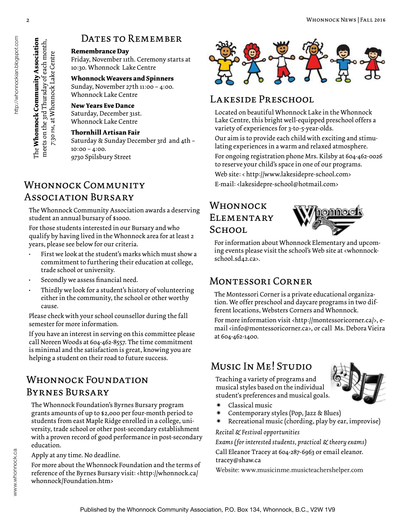### DATES TO REMEMBER

### **Remembrance Day**

Friday, November 11th. Ceremony starts at 10:30. Whonnock Lake Centre

**Whonnock Weavers and Spinners**  Sunday, November 27th 11:00 – 4:00. Whonnock Lake Centre

#### **New Years Eve Dance**

Saturday, December 31st. Whonnock Lake Centre

### **Thornhill Artisan Fair**

Saturday & Sunday December 3rd and 4th – 10:00 – 4:00. 9730 Spilsbury Street

## WHONNOCK COMMUNITY E-mail: <lakesidepre-school@hotmail.com> Association Bursary

The Whonnock Community Association awards a deserving student an annual bursary of \$1000.

For those students interested in our Bursary and who qualify by having lived in the Whonnock area for at least 2 years, please see below for our criteria.

- First we look at the student's marks which must show a commitment to furthering their education at college, trade school or university.
- Secondly we assess financial need.
- Thirdly we look for a student's history of volunteering either in the community, the school or other worthy cause.

Please check with your school counsellor during the fall semester for more information.

If you have an interest in serving on this committee please call Noreen Woods at 604-462-8557. The time commitment is minimal and the satisfaction is great, knowing you are helping a student on their road to future success.

## WHONNOCK FOUNDATION Byrnes Bursary

The Whonnock Foundation's Byrnes Bursary program grants amounts of up to \$2,000 per four-month period to students from east Maple Ridge enrolled in a college, university, trade school or other post-secondary establishment with a proven record of good performance in post-secondary education.

Apply at any time. No deadline.

For more about the Whonnock Foundation and the terms of reference of the Byrnes Bursary visit: <http://whonnock.ca/ whonnock/Foundation.htm>



### Lakeside Preschool

Located on beautiful Whonnock Lake in the Whonnock Lake Centre, this bright well-equipped preschool offers a variety of experiences for 3-to-5-year-olds.

Our aim is to provide each child with exciting and stimulating experiences in a warm and relaxed atmosphere.

For ongoing registration phone Mrs. Kilsby at 604-462-0026 to reserve your child's space in one of our programs.

Web site: < http://www.lakesidepre-school.com>

## Whonnock **ELEMENTARY** School.



For information about Whonnock Elementary and upcoming events please visit the school's Web site at <whonnockschool.sd42.ca>.

## Montessori Corner

The Montessori Corner is a private educational organization. We offer preschool and daycare programs in two different locations, Websters Corners and Whonnock.

For more information visit <http://montessoricorner.ca/>, email <info@montessoricorner.ca>, or call Ms. Debora Vieira at 604-462-1400.

# Music In Me! Studio

Teaching a variety of programs and musical styles based on the individual student's preferences and musical goals.



- \* Classical music
- Contemporary styles (Pop, Jazz & Blues)
- Recreational music (chording, play by ear, improvise)

*Recital & Festival opportunities*

*Exams (for interested students, practical & theory exams)* Call Eleanor Tracey at 604-287-6963 or email eleanor. tracey@shaw.ca

Website: www.musicinme.musicteachershelper.com

The Whonnock Community Association

meets on the 3rd Thursday of each month, 7:30 PM, at Whonnock Lake Centre

**Whonnock Community Association** meets on the 3rd Thursday of each month, 7:30 pm, at Whonnock Lake Centre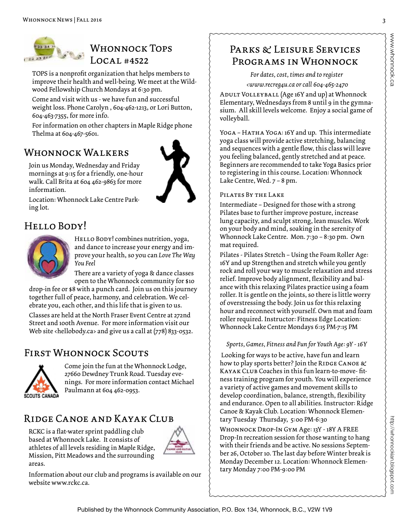

## WHONNOCK TOPS  $LOCAL #4522$

TOPS is a nonprofit organization that helps members to improve their health and well-being. We meet at the Wildwood Fellowship Church Mondays at 6:30 pm.

Come and visit with us - we have fun and successful weight loss. Phone Carolyn , 604-462-1213, or Lori Button, 604-463-7355, for more info.

For information on other chapters in Maple Ridge phone Thelma at 604-467-5601.

### WHONNOCK WALKERS



Join us Monday, Wednesday and Friday mornings at 9:15 for a friendly, one-hour walk. Call Brita at 604 462-9863 for more information.

Location: Whonnock Lake Centre Parking lot.

# Hello Body!



HELLO BODY! combines nutrition, yoga, and dance to increase your energy and improve your health, so you can *Love The Way You Feel*

There are a variety of yoga & dance classes open to the Whonnock community for \$10

drop-in fee or \$8 with a punch card. Join us on this journey together full of peace, harmony, and celebration. We celebrate you, each other, and this life that is given to us.

Classes are held at the North Fraser Event Centre at 272nd Street and 100th Avenue. For more information visit our Web site <hellobody.ca> and give us a call at (778) 833-0532.

# First Whonnock Scouts



Come join the fun at the Whonnock Lodge, 27660 Dewdney Trunk Road. Tuesday evenings. For more information contact Michael Paulmann at 604 462-0953.

# Ridge Canoe and Kayak Club

RCKC is a flat-water sprint paddling club based at Whonnock Lake. It consists of athletes of all levels residing in Maple Ridge, Mission, Pitt Meadows and the surrounding areas.



Information about our club and programs is available on our website www.rckc.ca.

# PARKS & LEISURE SERVICES Programs in Whonnock

*For dates, cost, times and to register*

 *<www.recreg4u.ca or call 604-465-2470*

Adult Volleyball (Age 16Y and up) at Whonnock Elementary, Wednesdays from 8 until 9 in the gymnasium. All skill levels welcome. Enjoy a social game of volleyball.

YOGA - HATHA YOGA: 16Y and up. This intermediate yoga class will provide active stretching, balancing and sequences with a gentle flow, this class will leave you feeling balanced, gently stretched and at peace. Beginners are recommended to take Yoga Basics prior to registering in this course. Location: Whonnock Lake Centre, Wed. 7 – 8 pm.

### Pilates By the Lake

Intermediate – Designed for those with a strong Pilates base to further improve posture, increase lung capacity, and sculpt strong, lean muscles. Work on your body and mind, soaking in the serenity of Whonnock Lake Centre. Mon. 7:30 – 8:30 pm. Own mat required.

Pilates - Pilates Stretch – Using the Foam Roller Age: 16Y and up Strengthen and stretch while you gently rock and roll your way to muscle relaxation and stress relief. Improve body alignment, flexibility and balance with this relaxing Pilates practice using a foam roller. It is gentle on the joints, so there is little worry of overstressing the body. Join us for this relaxing hour and reconnect with yourself. Own mat and foam roller required. Instructor: Fitness Edge Location: Whonnock Lake Centre Mondays 6:15 PM-7:15 PM

### *Sports, Games, Fitness and Fun for Youth Age: 9Y - 16Y*

 Looking for ways to be active, have fun and learn how to play sports better? Join the RIDGE CANOE  $\&$ Kayak Club Coaches in this fun learn-to-move- fitness training program for youth. You will experience a variety of active games and movement skills to develop coordination, balance, strength, flexibility and endurance. Open to all abilities. Instructor: Ridge Canoe & Kayak Club. Location: Whonnock Elementary Tuesday Thursday, 5:00 PM-6:30

Whonnock Drop-In Gym Age: 13Y - 18Y A FREE Drop-In recreation session for those wanting to hang with their friends and be active. No sessions September 26, October 10. The last day before Winter break is Monday December 12. Location: Whonnock Elementary Monday 7:00 PM-9:00 PM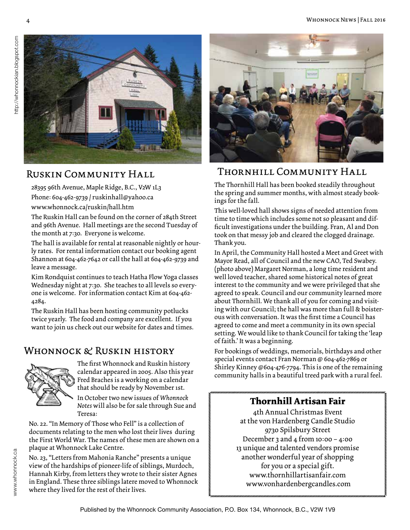

## Ruskin Community Hall

28395 96th Avenue, Maple Ridge, B.C., V2W 1L3 Phone: 604-462-9739 / ruskinhall@yahoo.ca www.whonnock.ca/ruskin/hall.htm

The Ruskin Hall can be found on the corner of 284th Street and 96th Avenue. Hall meetings are the second Tuesday of the month at 7:30. Everyone is welcome.

The hall is available for rental at reasonable nightly or hourly rates. For rental information contact our booking agent Shannon at 604-462-7642 or call the hall at 604-462-9739 and leave a message.

Kim Rondquist continues to teach Hatha Flow Yoga classes Wednesday night at 7:30. She teaches to all levels so everyone is welcome. For information contact Kim at 604-462- 4284.

The Ruskin Hall has been hosting community potlucks twice yearly. The food and company are excellent. If you want to join us check out our website for dates and times.

### Whonnock & Ruskin history



The first Whonnock and Ruskin history calendar appeared in 2005. Also this year Fred Braches is a working on a calendar that should be ready by November 1st.

In October two new issues of *Whonnock Notes* will also be for sale through Sue and Teresa:

No. 22. "In Memory of Those who Fell" is a collection of documents relating to the men who lost their lives during the First World War. The names of these men are shown on a plaque at Whonnock Lake Centre.

No. 23, "Letters from Mahonia Ranche" presents a unique view of the hardships of pioneer-life of siblings, Murdoch, Hannah Kirby, from letters they wrote to their sister Agnes in England. These three siblings latere moved to Whonnock where they lived for the rest of their lives.



### Thornhill Community Hall

The Thornhill Hall has been booked steadily throughout the spring and summer months, with almost steady bookings for the fall.

This well-loved hall shows signs of needed attention from time to time which includes some not so pleasant and difficult investigations under the building. Fran, Al and Don took on that messy job and cleared the clogged drainage. Thank you.

In April, the Community Hall hosted a Meet and Greet with Mayor Read, all of Council and the new CAO, Ted Swabey. (photo above) Margaret Norman, a long time resident and well loved teacher, shared some historical notes of great interest to the community and we were privileged that she agreed to speak. Council and our community learned more about Thornhill. We thank all of you for coming and visiting with our Council; the hall was more than full & boisterous with conversation. It was the first time a Council has agreed to come and meet a community in its own special setting. We would like to thank Council for taking the 'leap of faith.' It was a beginning.

For bookings of weddings, memorials, birthdays and other special events contact Fran Norman @ 604-462-7869 or Shirley Kinney @604-476-7794. This is one of the remaining community halls in a beautiful treed park with a rural feel.

## **Thornhill Artisan Fair**

4th Annual Christmas Event at the von Hardenberg Candle Studio 9730 Spilsbury Street December 3 and 4 from  $10:00 - 4:00$ 13 unique and talented vendors promise another wonderful year of shopping for you or a special gift. www.thornhillartisanfair.com www.vonhardenbergcandles.com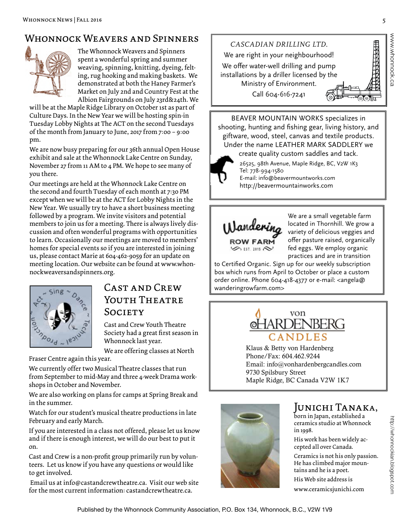## WHONNOCK WEAVERS AND SPINNERS



The Whonnock Weavers and Spinners spent a wonderful spring and summer weaving, spinning, knitting, dyeing, felting, rug hooking and making baskets. We demonstrated at both the Haney Farmer's Market on July 2nd and Country Fest at the Albion Fairgrounds on July 23rd&24th. We

will be at the Maple Ridge Library on October 1st as part of Culture Days. In the New Year we will be hosting spin-in Tuesday Lobby Nights at The ACT on the second Tuesdays of the month from January to June, 2017 from 7:00 – 9:00 pm.

We are now busy preparing for our 36th annual Open House exhibit and sale at the Whonnock Lake Centre on Sunday, November 27 from 11 AM to 4 PM. We hope to see many of you there.

Our meetings are held at the Whonnock Lake Centre on the second and fourth Tuesday of each month at 7:30 PM except when we will be at the ACT for Lobby Nights in the New Year. We usually try to have a short business meeting followed by a program. We invite visitors and potential members to join us for a meeting. There is always lively discussion and often wonderful programs with opportunities to learn. Occasionally our meetings are moved to members' homes for special events so if you are interested in joining us, please contact Marie at 604-462-9059 for an update on meeting location. Our website can be found at www.whonnockweaversandspinners.org.



## $CAST AND CREW$  wanderingrowfarm.com> YOUTH THEATRE Society

Cast and Crew Youth Theatre Society had a great first season in Whonnock last year.

We are offering classes at North

Fraser Centre again this year.

We currently offer two Musical Theatre classes that run from September to mid-May and three 4-week Drama workshops in October and November.

We are also working on plans for camps at Spring Break and in the summer.

Watch for our student's musical theatre productions in late February and early March.

If you are interested in a class not offered, please let us know and if there is enough interest, we will do our best to put it on.

Cast and Crew is a non-profit group primarily run by volunteers. Let us know if you have any questions or would like to get involved.

 Email us at info@castandcrewtheatre.ca. Visit our web site for the most current information: castandcrewtheatre.ca.



BEAVER MOUNTAIN WORKS specializes in shooting, hunting and fishing gear, living history, and giftware, wood, steel, canvas and textile products. Under the name LEATHER MARK SADDLERY we create quality custom saddles and tack.

26525, 98th Avenue, Maple Ridge, BC, V2W 1K3 Tel: 778-994-1580 E-mail: info@beavermountworks.com

http://beavermountainworks.com



We are a small vegetable farm located in Thornhill. We grow a variety of delicious veggies and offer pasture raised, organically fed eggs. We employ organic practices and are in transition

to Certified Organic. Sign up for our weekly subscription box which runs from April to October or place a custom order online. Phone 604-418-4377 or e-mail: <angela@



Klaus & Betty von Hardenberg Phone/Fax: 604.462.9244 Email: info@vonhardenbergcandles.com 9730 Spilsbury Street Maple Ridge, BC Canada V2W 1K7



### JUNICHI TANAKA,

born in Japan, established a ceramics studio at Whonnock in 1998.

His work has been widely accepted all over Canada.

Ceramics is not his only passion. He has climbed major mountains and he is a poet. His Web site address is

www.ceramicsjunichi.com

www.whonnock.ca

ww.whonnock.ca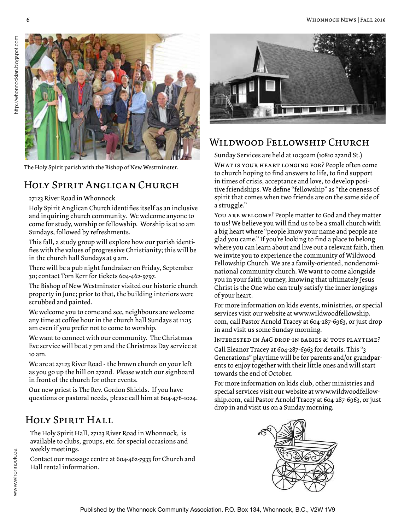

The Holy Spirit parish with the Bishop of New Westminster.

## Holy Spirit Anglican Church

#### 27123 River Road in Whonnock

Holy Spirit Anglican Church identifies itself as an inclusive and inquiring church community. We welcome anyone to come for study, worship or fellowship. Worship is at 10 am Sundays, followed by refreshments.

This fall, a study group will explore how our parish identifies with the values of progressive Christianity; this will be in the church hall Sundays at 9 am.

There will be a pub night fundraiser on Friday, September 30; contact Tom Kerr for tickets 604-462-9797.

The Bishop of New Westminster visited our historic church property in June; prior to that, the building interiors were scrubbed and painted.

We welcome you to come and see, neighbours are welcome any time at coffee hour in the church hall Sundays at 11:15 am even if you prefer not to come to worship.

We want to connect with our community. The Christmas Eve service will be at 7 pm and the Christmas Day service at 10 am.

We are at 27123 River Road - the brown church on your left as you go up the hill on 272nd. Please watch our signboard in front of the church for other events.

Our new priest is The Rev. Gordon Shields. If you have questions or pastoral needs, please call him at 604-476-1024.

## Holy Spirit Hall

The Holy Spirit Hall, 27123 River Road in Whonnock, is available to clubs, groups, etc. for special occasions and weekly meetings.

Contact our message centre at 604-462-7933 for Church and Hall rental information.



### Wildwood Fellowship Church

Sunday Services are held at 10:30am (10810 272nd St.)

WHAT IS YOUR HEART LONGING FOR? People often come to church hoping to find answers to life, to find support in times of crisis, acceptance and love, to develop positive friendships. We define "fellowship" as "the oneness of spirit that comes when two friends are on the same side of a struggle."

You are welcome! People matter to God and they matter to us! We believe you will find us to be a small church with a big heart where "people know your name and people are glad you came." If you're looking to find a place to belong where you can learn about and live out a relevant faith, then we invite you to experience the community of Wildwood Fellowship Church. We are a family-oriented, nondenominational community church. We want to come alongside you in your faith journey, knowing that ultimately Jesus Christ is the One who can truly satisfy the inner longings of your heart.

For more information on kids events, ministries, or special services visit our website at www.wildwoodfellowship. com, call Pastor Arnold Tracey at 604-287-6963, or just drop in and visit us some Sunday morning.

Interested in A4G drop-in babies & tots playtime?

Call Eleanor Tracey at 604-287-6963 for details. This "3 Generations" playtime will be for parents and/or grandparents to enjoy together with their little ones and will start towards the end of October.

For more information on kids club, other ministries and special services visit our website at www.wildwoodfellowship.com, call Pastor Arnold Tracey at 604-287-6963, or just drop in and visit us on a Sunday morning.



www.whonnock.ca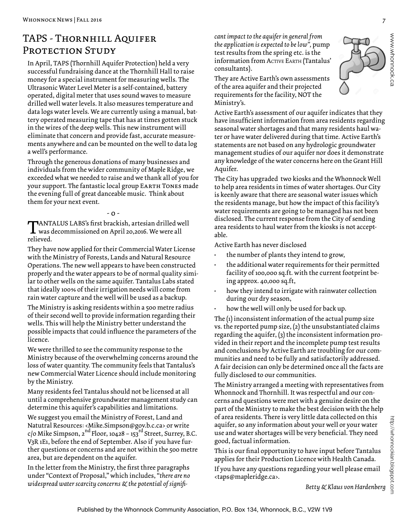## TAPS - THORNHILL AQUIFER PROTECTION STUDY

In April, TAPS (Thornhill Aquifer Protection) held a very successful fundraising dance at the Thornhill Hall to raise money for a special instrument for measuring wells. The Ultrasonic Water Level Meter is a self-contained, battery operated, digital meter that uses sound waves to measure drilled well water levels. It also measures temperature and data logs water levels. We are currently using a manual, battery operated measuring tape that has at times gotten stuck in the wires of the deep wells. This new instrument will eliminate that concern and provide fast, accurate measurements anywhere and can be mounted on the well to data log a well's performance.

Through the generous donations of many businesses and individuals from the wider community of Maple Ridge, we exceeded what we needed to raise and we thank all of you for your support. The fantastic local group EARTH TONES made the evening full of great danceable music. Think about them for your next event.

#### - 0 -

TANTALUS LABS's first brackish, artesian drilled well was decommissioned on April 20,2016. We were all relieved.

They have now applied for their Commercial Water License with the Ministry of Forests, Lands and Natural Resource Operations. The new well appears to have been constructed properly and the water appears to be of normal quality similar to other wells on the same aquifer. Tantalus Labs stated that ideally 100% of their irrigation needs will come from rain water capture and the well will be used as a backup.

The Ministry is asking residents within a 500 metre radius of their second well to provide information regarding their wells. This will help the Ministry better understand the possible impacts that could influence the parameters of the licence.

We were thrilled to see the community response to the Ministry because of the overwhelming concerns around the loss of water quantity. The community feels that Tantalus's new Commercial Water Licence should include monitoring by the Ministry.

Many residents feel Tantalus should not be licensed at all until a comprehensive groundwater management study can determine this aquifer's capabilities and limitations.

We suggest you email the Ministry of Forest, Land and Natutral Resources: <Mike.Simpson@gov.b.c.ca> or write c/o Mike Simpson,  $2^{nd}$  Floor, 10428 – 153<sup>rd</sup> Street, Surrey, B.C. V3R 1E1, before the end of September. Also if you have further questions or concerns and are not within the 500 metre area, but are dependent on the aquifer.

In the letter from the Ministry, the first three paragraphs under "Context of Proposal," which includes, "*there are no widespread water scarcity concerns & the potential of signifi-* *cant impact to the aquifer in general from the application is expected to be low",* pump test results from the spring etc. is the information from ACTIVE EARTH (Tantalus' consultants).

They are Active Earth's own assessments of the area aquifer and their projected requirements for the facility, NOT the Ministry's.

Active Earth's assessment of our aquifer indicates that they have insufficient information from area residents regarding seasonal water shortages and that many residents haul water or have water delivered during that time. Active Earth's statements are not based on any hydrologic groundwater management studies of our aquifer nor does it demonstrate any knowledge of the water concerns here on the Grant Hill Aquifer.

The City has upgraded two kiosks and the Whonnock Well to help area residents in times of water shortages. Our City is keenly aware that there are seasonal water issues which the residents manage, but how the impact of this facility's water requirements are going to be managed has not been disclosed. The current response from the City of sending area residents to haul water from the kiosks is not acceptable.

Active Earth has never disclosed

- the number of plants they intend to grow,
- the additional water requirements for their permitted facility of 100,000 sq.ft. with the current footprint being approx. 40,000 sq.ft,
- how they intend to irrigate with rainwater collection during our dry season,
- how the well will only be used for back up.

The (1) inconsistent information of the actual pump size vs. the reported pump size, (2) the unsubstantiated claims regarding the aquifer, (3) the inconsistent information provided in their report and the incomplete pump test results and conclusions by Active Earth are troubling for our communities and need to be fully and satisfactorily addressed. A fair decision can only be determined once all the facts are fully disclosed to our communities.

The Ministry arranged a meeting with representatives from Whonnock and Thornhill. It was respectful and our concerns and questions were met with a genuine desire on the part of the Ministry to make the best decision with the help of area residents. There is very little data collected on this aquifer, so any information about your well or your water use and water shortages will be very beneficial. They need good, factual information.

This is our final opportunity to have input before Tantalus applies for their Production Licence with Health Canada.

If you have any questions regarding your well please email <taps@mapleridge.ca>.

*Betty & Klaus von Hardenberg*

http://whonnockian.blogspot.com

http://whonnockian.blogspot.cor

www.whonnock.ca

www.whonnock.ca